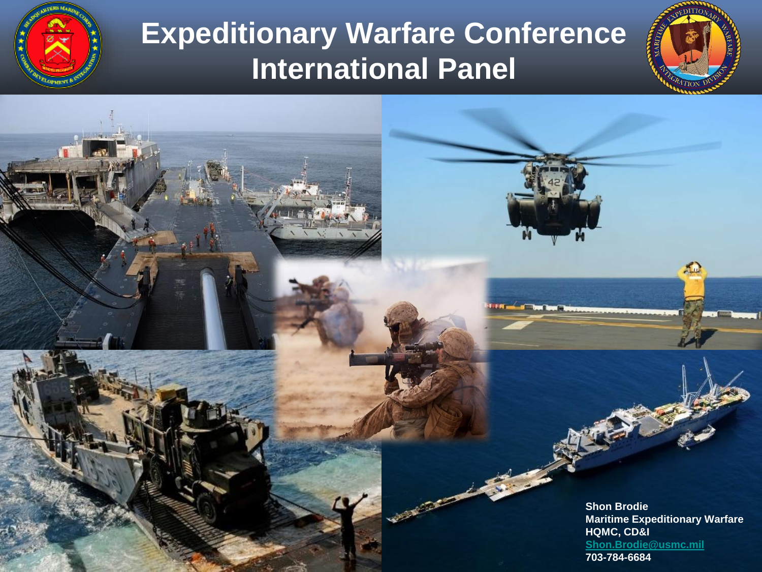

UNCLASSIFIED AT A

#### **Expeditionary Warfare Conference International Panel**

**Shon Brodie Maritime Expeditionary Warfare HQMC, CD&I [Shon.Brodie@usmc.mil](mailto:Shon.Brodie@usmc.mil) 703-784-6684**

 $\Omega$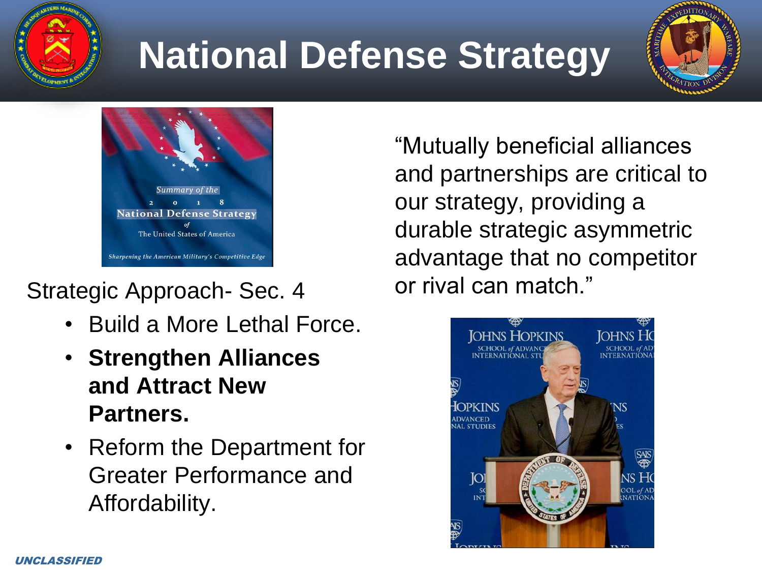

## **National Defense Strategy**





#### Strategic Approach- Sec. 4

- Build a More Lethal Force.
- **Strengthen Alliances and Attract New Partners.**
- Reform the Department for Greater Performance and Affordability.

"Mutually beneficial alliances and partnerships are critical to our strategy, providing a durable strategic asymmetric advantage that no competitor or rival can match."

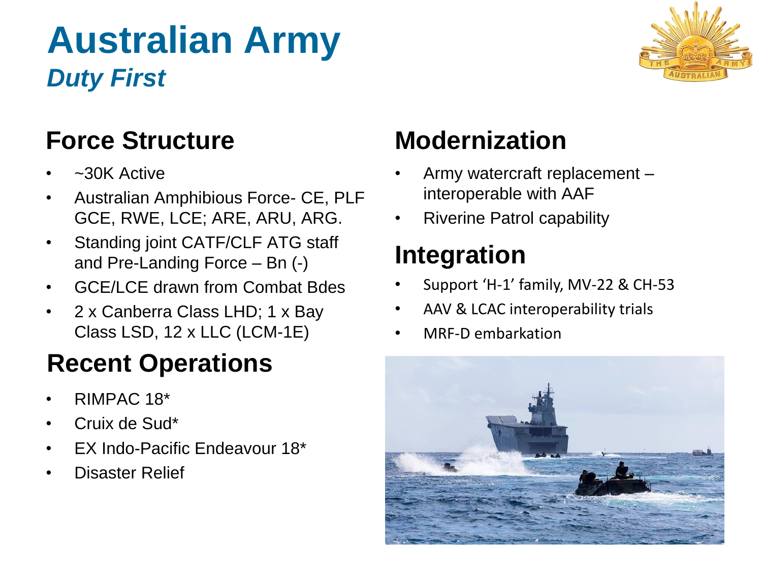## **Australian Army** *Duty First*



#### **Force Structure**

- ~30K Active
- Australian Amphibious Force- CE, PLF GCE, RWE, LCE; ARE, ARU, ARG.
- Standing joint CATF/CLF ATG staff and Pre-Landing Force – Bn (-)
- GCF/LCF drawn from Combat Bdes
- 2 x Canberra Class LHD; 1 x Bay Class LSD, 12 x LLC (LCM-1E)

#### **Recent Operations**

- RIMPAC 18\*
- Cruix de Sud\*
- EX Indo-Pacific Endeavour 18\*
- Disaster Relief

#### **Modernization**

- Army watercraft replacement interoperable with AAF
- Riverine Patrol capability

#### **Integration**

- Support 'H-1' family, MV-22 & CH-53
- AAV & LCAC interoperability trials
- MRF-D embarkation

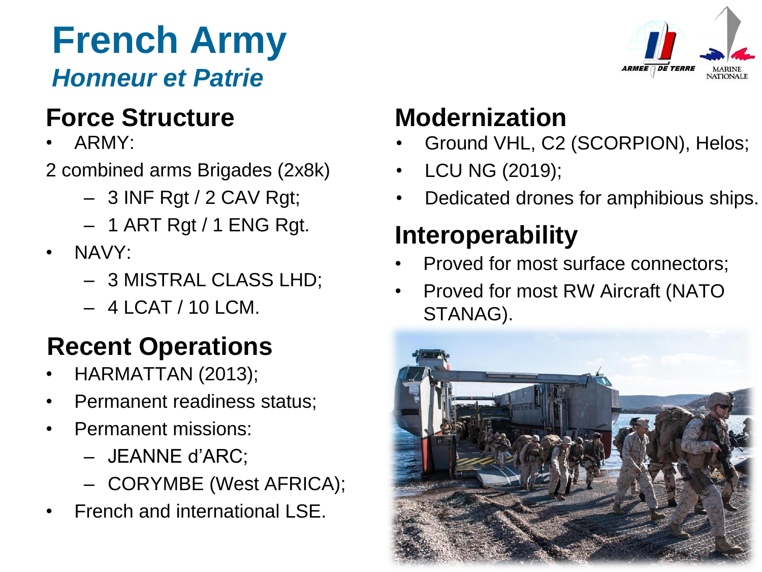#### **French Army** *Honneur et Patrie*

#### **Force Structure**

- ARMY:
- 2 combined arms Brigades (2x8k)
	- 3 INF Rgt / 2 CAV Rgt;
	- 1 ART Rgt / 1 ENG Rgt.
- NAVY:
	- 3 MISTRAL CLASS LHD;
	- $-4$  LCAT / 10 LCM.

#### **Recent Operations**

- HARMATTAN (2013);
- Permanent readiness status;
- Permanent missions:
	- JEANNE d'ARC;
	- CORYMBE (West AFRICA);
- French and international LSE.



#### **Modernization**

- Ground VHL, C2 (SCORPION), Helos;
- LCU NG (2019);
- Dedicated drones for amphibious ships.

### **Interoperability**

- Proved for most surface connectors;
- Proved for most RW Aircraft (NATO STANAG).

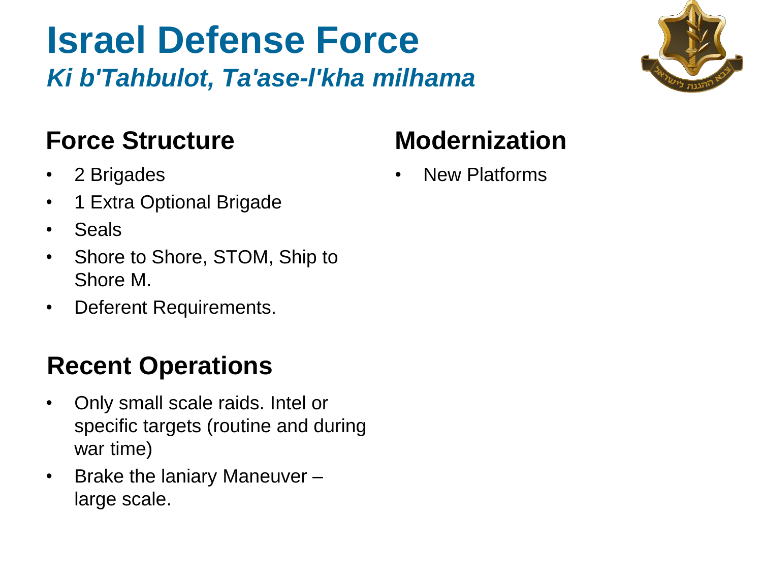### **Israel Defense Force** *Ki b'Tahbulot, Ta'ase-l'kha milhama*

#### **Force Structure**

- 2 Brigades
- 1 Extra Optional Brigade
- Seals
- Shore to Shore, STOM, Ship to Shore M.
- Deferent Requirements.

#### **Recent Operations**

- Only small scale raids. Intel or specific targets (routine and during war time)
- Brake the laniary Maneuver large scale.

#### **Modernization**

• New Platforms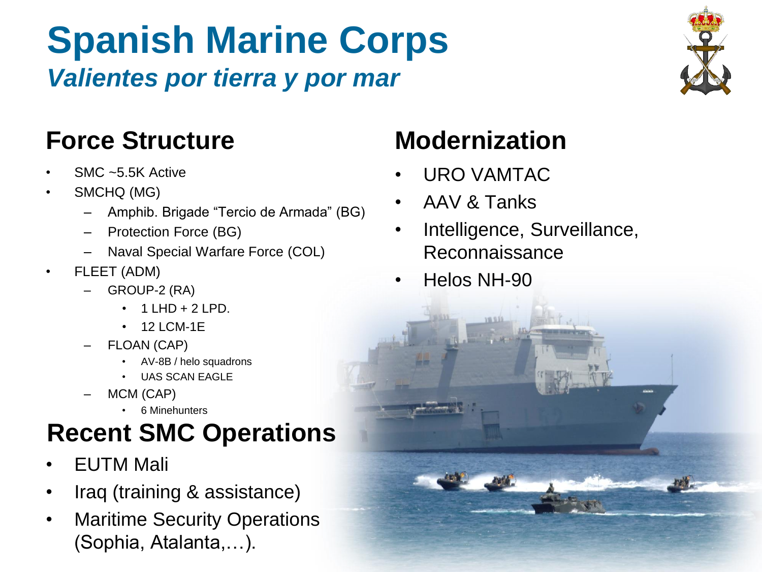### **Spanish Marine Corps** *Valientes por tierra y por mar*



#### **Force Structure Modernization**

- SMC ~5.5K Active
- SMCHQ (MG)
	- Amphib. Brigade "Tercio de Armada" (BG)
	- Protection Force (BG)
	- Naval Special Warfare Force (COL)
- FLEET (ADM)
	- GROUP-2 (RA)
		- $1$  LHD + 2 LPD.
		- 12 LCM-1E
	- FLOAN (CAP)
		- AV-8B / helo squadrons
		- UAS SCAN EAGLE
	- MCM (CAP)
		- 6 Minehunters

#### **Recent SMC Operations**

- EUTM Mali
- Iraq (training & assistance)
- Maritime Security Operations (Sophia, Atalanta,…).

- URO VAMTAC
- AAV & Tanks
- Intelligence, Surveillance, Reconnaissance
- Helos NH-90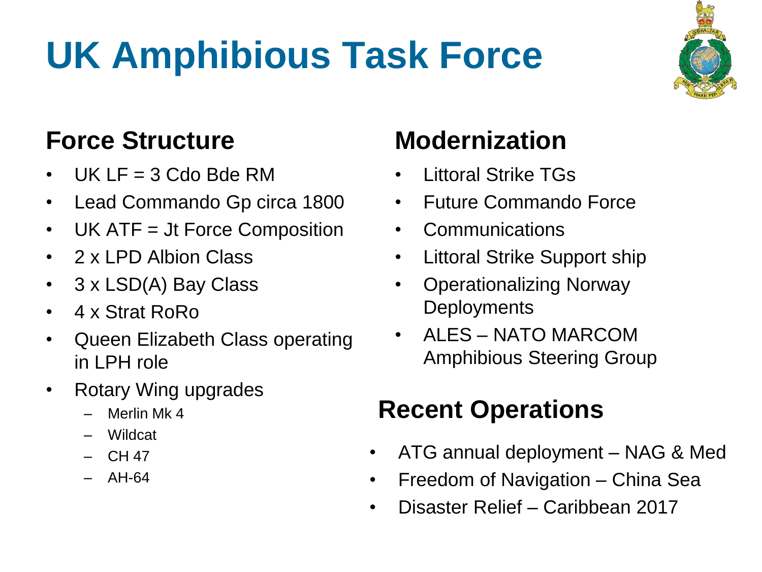# **UK Amphibious Task Force**



#### **Force Structure**

- UK LF =  $3$  Cdo Bde RM
- Lead Commando Gp circa 1800
- UK ATF = Jt Force Composition
- 2 x LPD Albion Class
- 3 x LSD(A) Bay Class
- 4 x Strat RoRo
- Queen Elizabeth Class operating in LPH role
- Rotary Wing upgrades
	- Merlin Mk 4
	- Wildcat
	- CH 47
	- AH-64

#### **Modernization**

- Littoral Strike TGs
- Future Commando Force
- **Communications**
- Littoral Strike Support ship
- Operationalizing Norway **Deployments**
- ALES NATO MARCOM Amphibious Steering Group

#### **Recent Operations**

- ATG annual deployment NAG & Med
- Freedom of Navigation China Sea
- Disaster Relief Caribbean 2017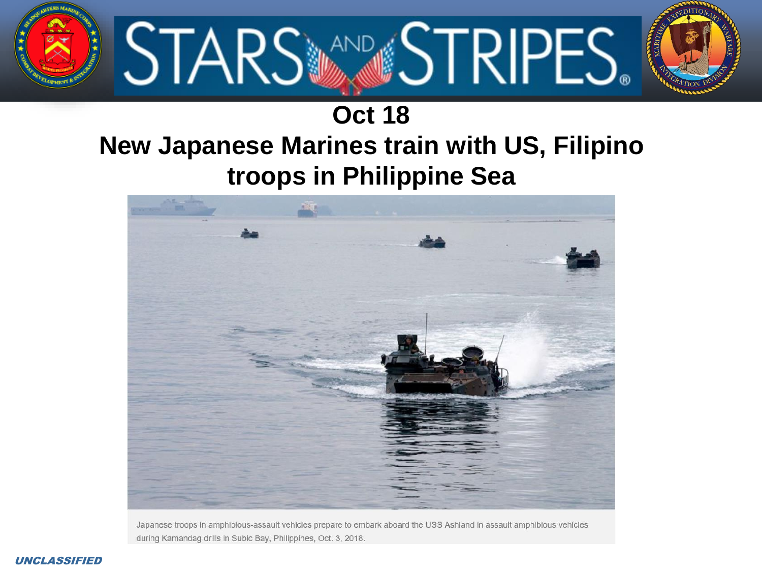

#### **Oct 18 New Japanese Marines train with US, Filipino troops in Philippine Sea**



Japanese troops in amphibious-assault vehicles prepare to embark aboard the USS Ashland in assault amphibious vehicles during Kamandag drills in Subic Bay, Philippines, Oct. 3, 2018.

#### UNCLASSIFIED